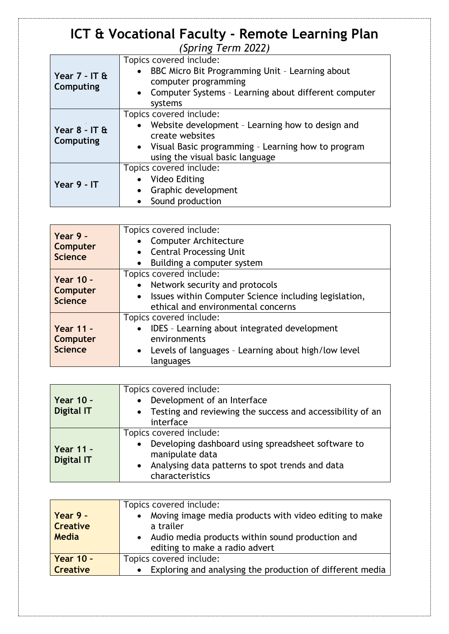## **ICT & Vocational Faculty - Remote Learning Plan** *(Spring Term 2022)*

| Year 7 - IT &<br>Computing   | Topics covered include:<br>• BBC Micro Bit Programming Unit - Learning about<br>computer programming<br>• Computer Systems - Learning about different computer<br>systems                 |
|------------------------------|-------------------------------------------------------------------------------------------------------------------------------------------------------------------------------------------|
| Year $8 - IT$ &<br>Computing | Topics covered include:<br>Website development - Learning how to design and<br>create websites<br>• Visual Basic programming - Learning how to program<br>using the visual basic language |
| Year 9 - IT                  | Topics covered include:<br>Video Editing<br>Graphic development<br>$\bullet$<br>Sound production                                                                                          |

| Year 9 -<br><b>Computer</b><br><b>Science</b>         | Topics covered include:<br>• Computer Architecture<br><b>Central Processing Unit</b><br>$\bullet$<br>Building a computer system<br>$\bullet$                                          |
|-------------------------------------------------------|---------------------------------------------------------------------------------------------------------------------------------------------------------------------------------------|
| <b>Year 10 -</b><br><b>Computer</b><br><b>Science</b> | Topics covered include:<br>• Network security and protocols<br>Issues within Computer Science including legislation,<br>$\bullet$<br>ethical and environmental concerns               |
| <b>Year 11 -</b><br>Computer<br><b>Science</b>        | Topics covered include:<br>IDES - Learning about integrated development<br>$\bullet$<br>environments<br>Levels of languages - Learning about high/low level<br>$\bullet$<br>languages |

| Year 10 -<br><b>Digital IT</b> | Topics covered include:<br>• Development of an Interface<br>• Testing and reviewing the success and accessibility of an<br>interface                                                             |
|--------------------------------|--------------------------------------------------------------------------------------------------------------------------------------------------------------------------------------------------|
| Year 11 -<br><b>Digital IT</b> | Topics covered include:<br>Developing dashboard using spreadsheet software to<br>$\bullet$<br>manipulate data<br>Analysing data patterns to spot trends and data<br>$\bullet$<br>characteristics |

|                  | Topics covered include:                                     |
|------------------|-------------------------------------------------------------|
| $Year 9 -$       | • Moving image media products with video editing to make    |
| <b>Creative</b>  | a trailer                                                   |
| Media            | • Audio media products within sound production and          |
|                  | editing to make a radio advert                              |
| <b>Year 10 -</b> | Topics covered include:                                     |
| <b>Creative</b>  | • Exploring and analysing the production of different media |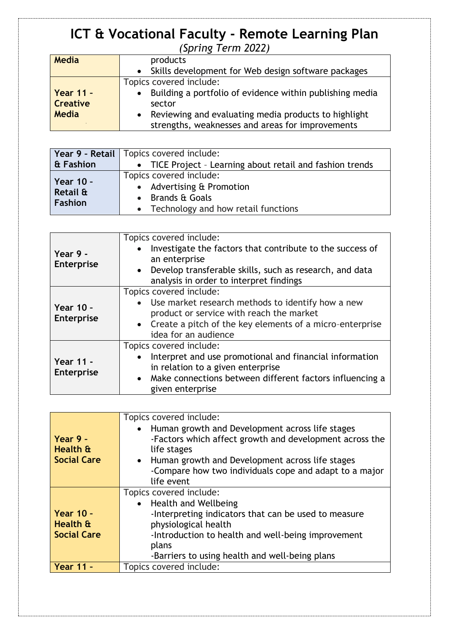## **ICT & Vocational Faculty - Remote Learning Plan** *(Spring Term 2022)*

| <b>Media</b>    | products                                                              |
|-----------------|-----------------------------------------------------------------------|
|                 | Skills development for Web design software packages<br>$\bullet$      |
|                 | Topics covered include:                                               |
| Year $11 -$     | Building a portfolio of evidence within publishing media<br>$\bullet$ |
| <b>Creative</b> | sector                                                                |
| <b>Media</b>    | Reviewing and evaluating media products to highlight<br>$\bullet$     |
|                 | strengths, weaknesses and areas for improvements                      |

|                                                | Year 9 - Retail   Topics covered include:                                                                                 |
|------------------------------------------------|---------------------------------------------------------------------------------------------------------------------------|
| & Fashion                                      | • TICE Project - Learning about retail and fashion trends                                                                 |
| <b>Year 10 -</b><br>Retail &<br><b>Fashion</b> | Topics covered include:<br>• Advertising & Promotion<br>$\bullet$ Brands & Goals<br>• Technology and how retail functions |

| Year 9 -<br><b>Enterprise</b>  | Topics covered include:<br>Investigate the factors that contribute to the success of<br>$\bullet$<br>an enterprise<br>Develop transferable skills, such as research, and data<br>$\bullet$<br>analysis in order to interpret findings |
|--------------------------------|---------------------------------------------------------------------------------------------------------------------------------------------------------------------------------------------------------------------------------------|
| Year 10 -<br><b>Enterprise</b> | Topics covered include:<br>• Use market research methods to identify how a new<br>product or service with reach the market<br>• Create a pitch of the key elements of a micro-enterprise<br>idea for an audience                      |
| Year 11 -<br><b>Enterprise</b> | Topics covered include:<br>Interpret and use promotional and financial information<br>$\bullet$<br>in relation to a given enterprise<br>• Make connections between different factors influencing a<br>given enterprise                |

|                    | Topics covered include:                                 |  |
|--------------------|---------------------------------------------------------|--|
|                    | • Human growth and Development across life stages       |  |
| Year 9 -           | -Factors which affect growth and development across the |  |
| Health &           | life stages                                             |  |
| <b>Social Care</b> | • Human growth and Development across life stages       |  |
|                    | -Compare how two individuals cope and adapt to a major  |  |
|                    | life event                                              |  |
|                    | Topics covered include:                                 |  |
|                    | • Health and Wellbeing                                  |  |
| <b>Year 10 -</b>   | -Interpreting indicators that can be used to measure    |  |
| Health &           | physiological health                                    |  |
| <b>Social Care</b> | -Introduction to health and well-being improvement      |  |
|                    | plans                                                   |  |
|                    | -Barriers to using health and well-being plans          |  |
| Year 11 -          | Topics covered include:                                 |  |